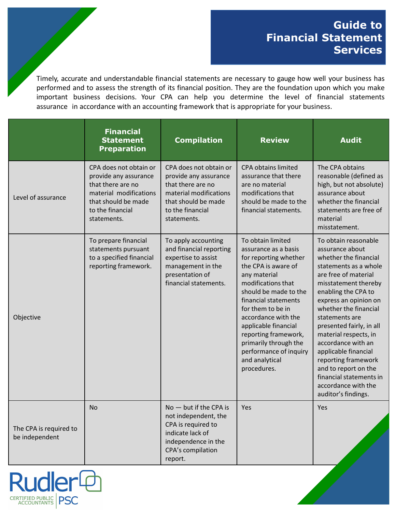## **Guide to Financial Statement Services**

Timely, accurate and understandable financial statements are necessary to gauge how well your business has performed and to assess the strength of its financial position. They are the foundation upon which you make important business decisions. Your CPA can help you determine the level of financial statements assurance in accordance with an accounting framework that is appropriate for your business.

|                                          | <b>Financial</b><br><b>Statement</b><br><b>Preparation</b>                                                                                               | <b>Compilation</b>                                                                                                                                       | <b>Review</b>                                                                                                                                                                                                                                                                                                                                                    | <b>Audit</b>                                                                                                                                                                                                                                                                                                                                                                                                                                                    |
|------------------------------------------|----------------------------------------------------------------------------------------------------------------------------------------------------------|----------------------------------------------------------------------------------------------------------------------------------------------------------|------------------------------------------------------------------------------------------------------------------------------------------------------------------------------------------------------------------------------------------------------------------------------------------------------------------------------------------------------------------|-----------------------------------------------------------------------------------------------------------------------------------------------------------------------------------------------------------------------------------------------------------------------------------------------------------------------------------------------------------------------------------------------------------------------------------------------------------------|
| Level of assurance                       | CPA does not obtain or<br>provide any assurance<br>that there are no<br>material modifications<br>that should be made<br>to the financial<br>statements. | CPA does not obtain or<br>provide any assurance<br>that there are no<br>material modifications<br>that should be made<br>to the financial<br>statements. | <b>CPA obtains limited</b><br>assurance that there<br>are no material<br>modifications that<br>should be made to the<br>financial statements.                                                                                                                                                                                                                    | The CPA obtains<br>reasonable (defined as<br>high, but not absolute)<br>assurance about<br>whether the financial<br>statements are free of<br>material<br>misstatement.                                                                                                                                                                                                                                                                                         |
| Objective                                | To prepare financial<br>statements pursuant<br>to a specified financial<br>reporting framework.                                                          | To apply accounting<br>and financial reporting<br>expertise to assist<br>management in the<br>presentation of<br>financial statements.                   | To obtain limited<br>assurance as a basis<br>for reporting whether<br>the CPA is aware of<br>any material<br>modifications that<br>should be made to the<br>financial statements<br>for them to be in<br>accordance with the<br>applicable financial<br>reporting framework,<br>primarily through the<br>performance of inquiry<br>and analytical<br>procedures. | To obtain reasonable<br>assurance about<br>whether the financial<br>statements as a whole<br>are free of material<br>misstatement thereby<br>enabling the CPA to<br>express an opinion on<br>whether the financial<br>statements are<br>presented fairly, in all<br>material respects, in<br>accordance with an<br>applicable financial<br>reporting framework<br>and to report on the<br>financial statements in<br>accordance with the<br>auditor's findings. |
| The CPA is required to<br>be independent | No.                                                                                                                                                      | $No$ — but if the CPA is<br>not independent, the<br>CPA is required to<br>indicate lack of<br>independence in the<br>CPA's compilation<br>report.        | Yes                                                                                                                                                                                                                                                                                                                                                              | <b>Yes</b>                                                                                                                                                                                                                                                                                                                                                                                                                                                      |